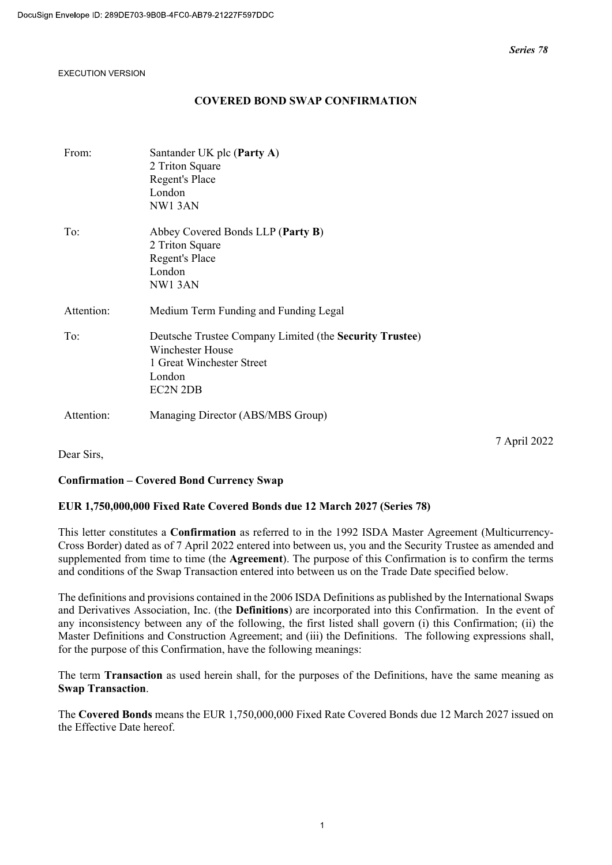## COVERED BOND SWAP CONFIRMATION

| From:      | Santander UK plc (Party A)<br>2 Triton Square<br>Regent's Place<br>London<br>NW13AN                                            |
|------------|--------------------------------------------------------------------------------------------------------------------------------|
| To:        | Abbey Covered Bonds LLP (Party B)<br>2 Triton Square<br>Regent's Place<br>London<br>NW13AN                                     |
| Attention: | Medium Term Funding and Funding Legal                                                                                          |
| To:        | Deutsche Trustee Company Limited (the Security Trustee)<br>Winchester House<br>1 Great Winchester Street<br>London<br>EC2N 2DB |
| Attention: | Managing Director (ABS/MBS Group)                                                                                              |

Dear Sirs,

7 April 2022

## Confirmation – Covered Bond Currency Swap

## EUR 1,750,000,000 Fixed Rate Covered Bonds due 12 March 2027 (Series 78)

This letter constitutes a Confirmation as referred to in the 1992 ISDA Master Agreement (Multicurrency-Cross Border) dated as of 7 April 2022 entered into between us, you and the Security Trustee as amended and supplemented from time to time (the **Agreement**). The purpose of this Confirmation is to confirm the terms and conditions of the Swap Transaction entered into between us on the Trade Date specified below.

The definitions and provisions contained in the 2006 ISDA Definitions as published by the International Swaps and Derivatives Association, Inc. (the Definitions) are incorporated into this Confirmation. In the event of any inconsistency between any of the following, the first listed shall govern (i) this Confirmation; (ii) the Master Definitions and Construction Agreement; and (iii) the Definitions. The following expressions shall, for the purpose of this Confirmation, have the following meanings:

The term Transaction as used herein shall, for the purposes of the Definitions, have the same meaning as Swap Transaction.

The Covered Bonds means the EUR 1,750,000,000 Fixed Rate Covered Bonds due 12 March 2027 issued on the Effective Date hereof.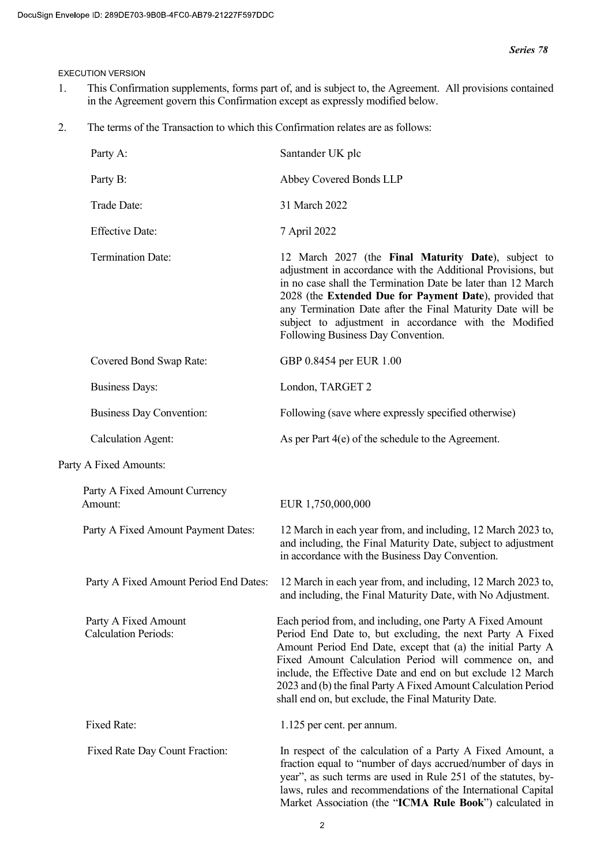- 1. This Confirmation supplements, forms part of, and is subject to, the Agreement. All provisions contained in the Agreement govern this Confirmation except as expressly modified below.
- 2. The terms of the Transaction to which this Confirmation relates are as follows:

| Party A:                                            | Santander UK plc                                                                                                                                                                                                                                                                                                                                                                                                                       |
|-----------------------------------------------------|----------------------------------------------------------------------------------------------------------------------------------------------------------------------------------------------------------------------------------------------------------------------------------------------------------------------------------------------------------------------------------------------------------------------------------------|
| Party B:                                            | Abbey Covered Bonds LLP                                                                                                                                                                                                                                                                                                                                                                                                                |
| Trade Date:                                         | 31 March 2022                                                                                                                                                                                                                                                                                                                                                                                                                          |
| <b>Effective Date:</b>                              | 7 April 2022                                                                                                                                                                                                                                                                                                                                                                                                                           |
| <b>Termination Date:</b>                            | 12 March 2027 (the Final Maturity Date), subject to<br>adjustment in accordance with the Additional Provisions, but<br>in no case shall the Termination Date be later than 12 March<br>2028 (the Extended Due for Payment Date), provided that<br>any Termination Date after the Final Maturity Date will be<br>subject to adjustment in accordance with the Modified<br>Following Business Day Convention.                            |
| Covered Bond Swap Rate:                             | GBP 0.8454 per EUR 1.00                                                                                                                                                                                                                                                                                                                                                                                                                |
| <b>Business Days:</b>                               | London, TARGET 2                                                                                                                                                                                                                                                                                                                                                                                                                       |
| <b>Business Day Convention:</b>                     | Following (save where expressly specified otherwise)                                                                                                                                                                                                                                                                                                                                                                                   |
| <b>Calculation Agent:</b>                           | As per Part $4(e)$ of the schedule to the Agreement.                                                                                                                                                                                                                                                                                                                                                                                   |
| Party A Fixed Amounts:                              |                                                                                                                                                                                                                                                                                                                                                                                                                                        |
| Party A Fixed Amount Currency<br>Amount:            | EUR 1,750,000,000                                                                                                                                                                                                                                                                                                                                                                                                                      |
| Party A Fixed Amount Payment Dates:                 | 12 March in each year from, and including, 12 March 2023 to,<br>and including, the Final Maturity Date, subject to adjustment<br>in accordance with the Business Day Convention.                                                                                                                                                                                                                                                       |
| Party A Fixed Amount Period End Dates:              | 12 March in each year from, and including, 12 March 2023 to,<br>and including, the Final Maturity Date, with No Adjustment.                                                                                                                                                                                                                                                                                                            |
| Party A Fixed Amount<br><b>Calculation Periods:</b> | Each period from, and including, one Party A Fixed Amount<br>Period End Date to, but excluding, the next Party A Fixed<br>Amount Period End Date, except that (a) the initial Party A<br>Fixed Amount Calculation Period will commence on, and<br>include, the Effective Date and end on but exclude 12 March<br>2023 and (b) the final Party A Fixed Amount Calculation Period<br>shall end on, but exclude, the Final Maturity Date. |
| Fixed Rate:                                         | 1.125 per cent. per annum.                                                                                                                                                                                                                                                                                                                                                                                                             |
| Fixed Rate Day Count Fraction:                      | In respect of the calculation of a Party A Fixed Amount, a<br>fraction equal to "number of days accrued/number of days in<br>year", as such terms are used in Rule 251 of the statutes, by-<br>laws, rules and recommendations of the International Capital<br>Market Association (the "ICMA Rule Book") calculated in                                                                                                                 |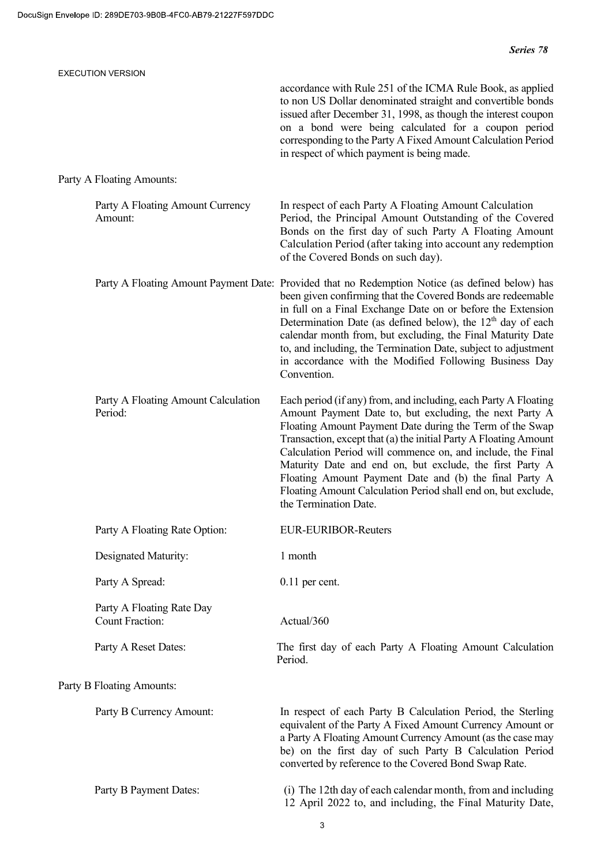| <b>EXECUTION VERSION</b>                            |                                                                                                                                                                                                                                                                                                                                                                                                                                                                                                                                           |
|-----------------------------------------------------|-------------------------------------------------------------------------------------------------------------------------------------------------------------------------------------------------------------------------------------------------------------------------------------------------------------------------------------------------------------------------------------------------------------------------------------------------------------------------------------------------------------------------------------------|
|                                                     | accordance with Rule 251 of the ICMA Rule Book, as applied<br>to non US Dollar denominated straight and convertible bonds<br>issued after December 31, 1998, as though the interest coupon<br>on a bond were being calculated for a coupon period<br>corresponding to the Party A Fixed Amount Calculation Period<br>in respect of which payment is being made.                                                                                                                                                                           |
| Party A Floating Amounts:                           |                                                                                                                                                                                                                                                                                                                                                                                                                                                                                                                                           |
| Party A Floating Amount Currency<br>Amount:         | In respect of each Party A Floating Amount Calculation<br>Period, the Principal Amount Outstanding of the Covered<br>Bonds on the first day of such Party A Floating Amount<br>Calculation Period (after taking into account any redemption<br>of the Covered Bonds on such day).                                                                                                                                                                                                                                                         |
|                                                     | Party A Floating Amount Payment Date: Provided that no Redemption Notice (as defined below) has<br>been given confirming that the Covered Bonds are redeemable<br>in full on a Final Exchange Date on or before the Extension<br>Determination Date (as defined below), the $12th$ day of each<br>calendar month from, but excluding, the Final Maturity Date<br>to, and including, the Termination Date, subject to adjustment<br>in accordance with the Modified Following Business Day<br>Convention.                                  |
| Party A Floating Amount Calculation<br>Period:      | Each period (if any) from, and including, each Party A Floating<br>Amount Payment Date to, but excluding, the next Party A<br>Floating Amount Payment Date during the Term of the Swap<br>Transaction, except that (a) the initial Party A Floating Amount<br>Calculation Period will commence on, and include, the Final<br>Maturity Date and end on, but exclude, the first Party A<br>Floating Amount Payment Date and (b) the final Party A<br>Floating Amount Calculation Period shall end on, but exclude,<br>the Termination Date. |
| Party A Floating Rate Option:                       | <b>EUR-EURIBOR-Reuters</b>                                                                                                                                                                                                                                                                                                                                                                                                                                                                                                                |
| Designated Maturity:                                | 1 month                                                                                                                                                                                                                                                                                                                                                                                                                                                                                                                                   |
| Party A Spread:                                     | $0.11$ per cent.                                                                                                                                                                                                                                                                                                                                                                                                                                                                                                                          |
| Party A Floating Rate Day<br><b>Count Fraction:</b> | Actual/360                                                                                                                                                                                                                                                                                                                                                                                                                                                                                                                                |
| Party A Reset Dates:                                | The first day of each Party A Floating Amount Calculation<br>Period.                                                                                                                                                                                                                                                                                                                                                                                                                                                                      |
| Party B Floating Amounts:                           |                                                                                                                                                                                                                                                                                                                                                                                                                                                                                                                                           |
| Party B Currency Amount:                            | In respect of each Party B Calculation Period, the Sterling<br>equivalent of the Party A Fixed Amount Currency Amount or<br>a Party A Floating Amount Currency Amount (as the case may<br>be) on the first day of such Party B Calculation Period<br>converted by reference to the Covered Bond Swap Rate.                                                                                                                                                                                                                                |
| Party B Payment Dates:                              | (i) The 12th day of each calendar month, from and including<br>12 April 2022 to, and including, the Final Maturity Date,                                                                                                                                                                                                                                                                                                                                                                                                                  |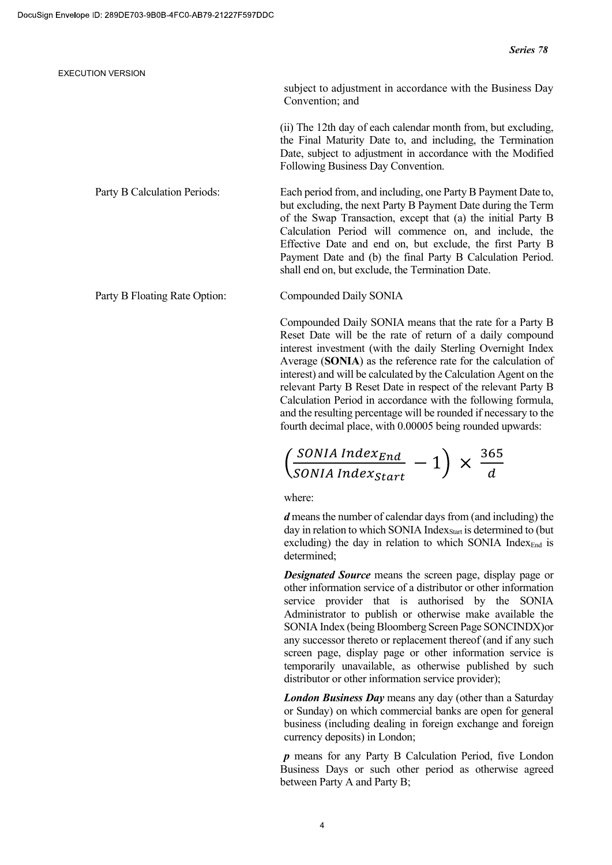|                              | subject to adjustment in accordance with the Business Day<br>Convention; and                                                                                                                                                     |
|------------------------------|----------------------------------------------------------------------------------------------------------------------------------------------------------------------------------------------------------------------------------|
|                              | (ii) The 12th day of each calendar month from, but excluding,<br>the Final Maturity Date to, and including, the Termination<br>Date, subject to adjustment in accordance with the Modified<br>Following Business Day Convention. |
| Party B Calculation Periods: | Each period from, and including, one Party B Payment Date to,<br>but excluding, the next Party B Payment Date during the Term<br>of the Swap Transaction, except that (a) the initial Party B                                    |

Party B Floating Rate Option: Compounded Daily SONIA

Compounded Daily SONIA means that the rate for a Party B Reset Date will be the rate of return of a daily compound interest investment (with the daily Sterling Overnight Index Average (SONIA) as the reference rate for the calculation of interest) and will be calculated by the Calculation Agent on the relevant Party B Reset Date in respect of the relevant Party B Calculation Period in accordance with the following formula, and the resulting percentage will be rounded if necessary to the fourth decimal place, with 0.00005 being rounded upwards:

Calculation Period will commence on, and include, the Effective Date and end on, but exclude, the first Party B Payment Date and (b) the final Party B Calculation Period.

shall end on, but exclude, the Termination Date.

$$
\left(\frac{\text{SONIA Index}_{\text{End}}}{\text{SONIA Index}_{\text{Start}}} - 1\right) \times \frac{365}{d}
$$

where:

d means the number of calendar days from (and including) the day in relation to which SONIA Index  $_{\text{Start}}$  is determined to (but excluding) the day in relation to which SONIA Index $_{End}$  is determined;

**Designated Source** means the screen page, display page or other information service of a distributor or other information service provider that is authorised by the SONIA Administrator to publish or otherwise make available the SONIA Index (being Bloomberg Screen Page SONCINDX)or any successor thereto or replacement thereof (and if any such screen page, display page or other information service is temporarily unavailable, as otherwise published by such distributor or other information service provider);

London Business Day means any day (other than a Saturday or Sunday) on which commercial banks are open for general business (including dealing in foreign exchange and foreign currency deposits) in London;

p means for any Party B Calculation Period, five London Business Days or such other period as otherwise agreed between Party A and Party B;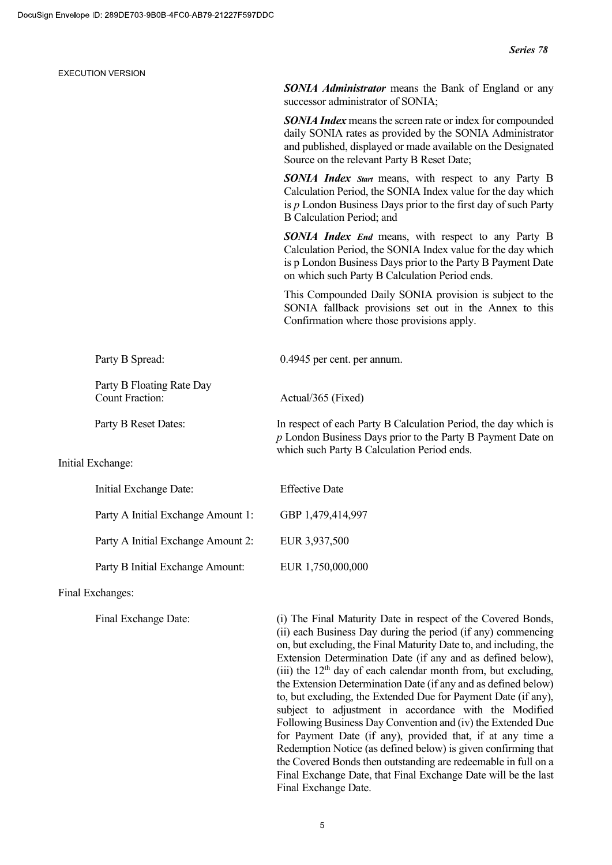|  | <b>EXECUTION VERSION</b>                            |                                                                                                                                                                                                                                            |
|--|-----------------------------------------------------|--------------------------------------------------------------------------------------------------------------------------------------------------------------------------------------------------------------------------------------------|
|  |                                                     | <b>SONIA Administrator</b> means the Bank of England or any<br>successor administrator of SONIA;                                                                                                                                           |
|  |                                                     | <b>SONIA Index</b> means the screen rate or index for compounded<br>daily SONIA rates as provided by the SONIA Administrator<br>and published, displayed or made available on the Designated<br>Source on the relevant Party B Reset Date; |
|  |                                                     | SONIA Index Start means, with respect to any Party B<br>Calculation Period, the SONIA Index value for the day which<br>is $p$ London Business Days prior to the first day of such Party<br>B Calculation Period; and                       |
|  |                                                     | <b>SONIA Index End means, with respect to any Party B</b><br>Calculation Period, the SONIA Index value for the day which<br>is p London Business Days prior to the Party B Payment Date<br>on which such Party B Calculation Period ends.  |
|  |                                                     | This Compounded Daily SONIA provision is subject to the<br>SONIA fallback provisions set out in the Annex to this<br>Confirmation where those provisions apply.                                                                            |
|  | Party B Spread:                                     | 0.4945 per cent. per annum.                                                                                                                                                                                                                |
|  | Party B Floating Rate Day<br><b>Count Fraction:</b> | Actual/365 (Fixed)                                                                                                                                                                                                                         |
|  | Party B Reset Dates:                                | In respect of each Party B Calculation Period, the day which is<br>$p$ London Business Days prior to the Party B Payment Date on<br>which such Party B Calculation Period ends.                                                            |
|  | Initial Exchange:                                   |                                                                                                                                                                                                                                            |
|  | Initial Exchange Date:                              | <b>Effective Date</b>                                                                                                                                                                                                                      |
|  | Party A Initial Exchange Amount 1:                  | GBP 1,479,414,997                                                                                                                                                                                                                          |
|  | Party A Initial Exchange Amount 2:                  | EUR 3,937,500                                                                                                                                                                                                                              |
|  | Party B Initial Exchange Amount:                    | EUR 1,750,000,000                                                                                                                                                                                                                          |
|  | Final Exchanges:                                    |                                                                                                                                                                                                                                            |
|  |                                                     |                                                                                                                                                                                                                                            |

Final Exchange Date: (i) The Final Maturity Date in respect of the Covered Bonds, (ii) each Business Day during the period (if any) commencing on, but excluding, the Final Maturity Date to, and including, the Extension Determination Date (if any and as defined below), (iii) the  $12<sup>th</sup>$  day of each calendar month from, but excluding, the Extension Determination Date (if any and as defined below) to, but excluding, the Extended Due for Payment Date (if any), subject to adjustment in accordance with the Modified Following Business Day Convention and (iv) the Extended Due for Payment Date (if any), provided that, if at any time a Redemption Notice (as defined below) is given confirming that the Covered Bonds then outstanding are redeemable in full on a Final Exchange Date, that Final Exchange Date will be the last Final Exchange Date.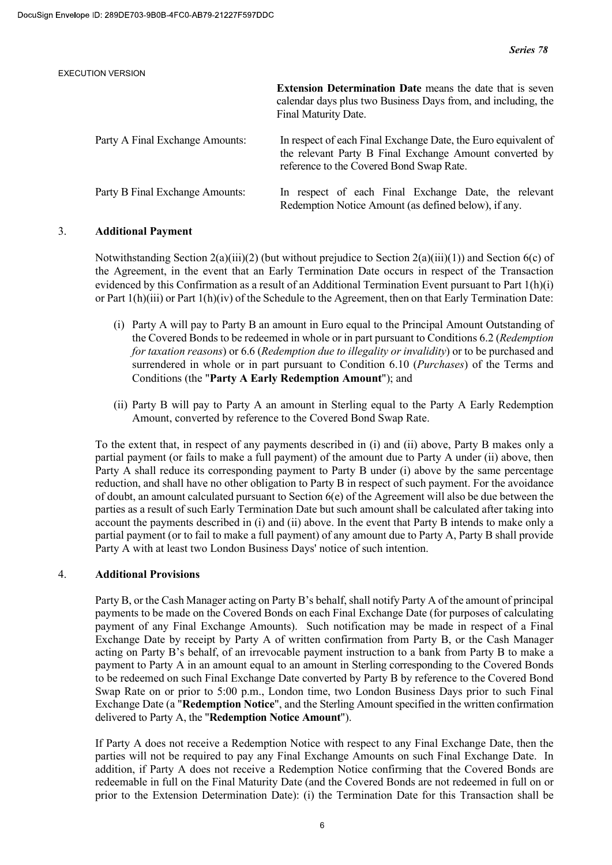| <b>EXECUTION VERSION</b>        |                                                                                                                                                                       |
|---------------------------------|-----------------------------------------------------------------------------------------------------------------------------------------------------------------------|
|                                 | <b>Extension Determination Date</b> means the date that is seven<br>calendar days plus two Business Days from, and including, the<br>Final Maturity Date.             |
| Party A Final Exchange Amounts: | In respect of each Final Exchange Date, the Euro equivalent of<br>the relevant Party B Final Exchange Amount converted by<br>reference to the Covered Bond Swap Rate. |
| Party B Final Exchange Amounts: | In respect of each Final Exchange Date, the relevant<br>Redemption Notice Amount (as defined below), if any.                                                          |

## 3. Additional Payment

Notwithstanding Section 2(a)(iii)(2) (but without prejudice to Section 2(a)(iii)(1)) and Section 6(c) of the Agreement, in the event that an Early Termination Date occurs in respect of the Transaction evidenced by this Confirmation as a result of an Additional Termination Event pursuant to Part 1(h)(i) or Part 1(h)(iii) or Part 1(h)(iv) of the Schedule to the Agreement, then on that Early Termination Date:

- (i) Party A will pay to Party B an amount in Euro equal to the Principal Amount Outstanding of the Covered Bonds to be redeemed in whole or in part pursuant to Conditions 6.2 (Redemption for taxation reasons) or 6.6 (Redemption due to illegality or invalidity) or to be purchased and surrendered in whole or in part pursuant to Condition 6.10 (*Purchases*) of the Terms and Conditions (the "Party A Early Redemption Amount"); and
- (ii) Party B will pay to Party A an amount in Sterling equal to the Party A Early Redemption Amount, converted by reference to the Covered Bond Swap Rate.

To the extent that, in respect of any payments described in (i) and (ii) above, Party B makes only a partial payment (or fails to make a full payment) of the amount due to Party A under (ii) above, then Party A shall reduce its corresponding payment to Party B under (i) above by the same percentage reduction, and shall have no other obligation to Party B in respect of such payment. For the avoidance of doubt, an amount calculated pursuant to Section 6(e) of the Agreement will also be due between the parties as a result of such Early Termination Date but such amount shall be calculated after taking into account the payments described in (i) and (ii) above. In the event that Party B intends to make only a partial payment (or to fail to make a full payment) of any amount due to Party A, Party B shall provide Party A with at least two London Business Days' notice of such intention.

## 4. Additional Provisions

Party B, or the Cash Manager acting on Party B's behalf, shall notify Party A of the amount of principal payments to be made on the Covered Bonds on each Final Exchange Date (for purposes of calculating payment of any Final Exchange Amounts). Such notification may be made in respect of a Final Exchange Date by receipt by Party A of written confirmation from Party B, or the Cash Manager acting on Party B's behalf, of an irrevocable payment instruction to a bank from Party B to make a payment to Party A in an amount equal to an amount in Sterling corresponding to the Covered Bonds to be redeemed on such Final Exchange Date converted by Party B by reference to the Covered Bond Swap Rate on or prior to 5:00 p.m., London time, two London Business Days prior to such Final Exchange Date (a "Redemption Notice", and the Sterling Amount specified in the written confirmation delivered to Party A, the "Redemption Notice Amount").

If Party A does not receive a Redemption Notice with respect to any Final Exchange Date, then the parties will not be required to pay any Final Exchange Amounts on such Final Exchange Date. In addition, if Party A does not receive a Redemption Notice confirming that the Covered Bonds are redeemable in full on the Final Maturity Date (and the Covered Bonds are not redeemed in full on or prior to the Extension Determination Date): (i) the Termination Date for this Transaction shall be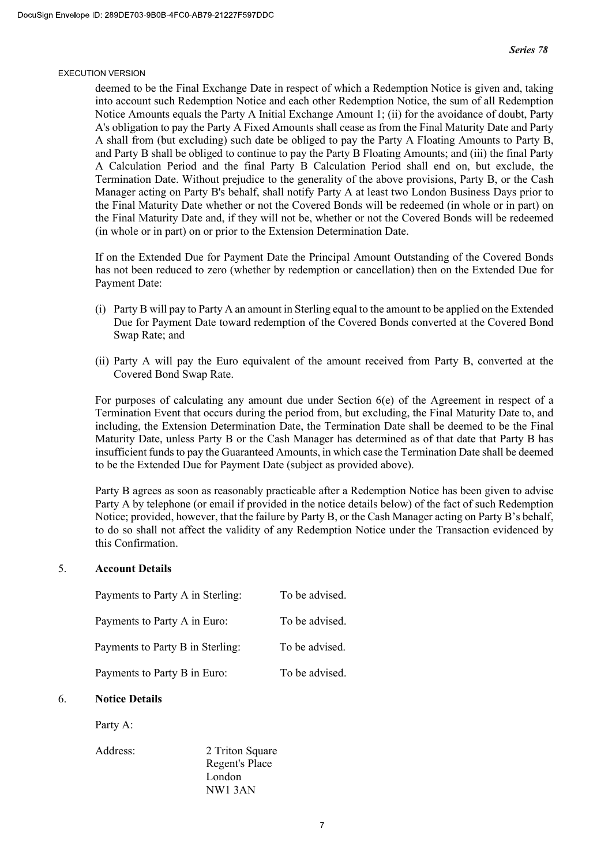deemed to be the Final Exchange Date in respect of which a Redemption Notice is given and, taking into account such Redemption Notice and each other Redemption Notice, the sum of all Redemption Notice Amounts equals the Party A Initial Exchange Amount 1; (ii) for the avoidance of doubt, Party A's obligation to pay the Party A Fixed Amounts shall cease as from the Final Maturity Date and Party A shall from (but excluding) such date be obliged to pay the Party A Floating Amounts to Party B, and Party B shall be obliged to continue to pay the Party B Floating Amounts; and (iii) the final Party A Calculation Period and the final Party B Calculation Period shall end on, but exclude, the Termination Date. Without prejudice to the generality of the above provisions, Party B, or the Cash Manager acting on Party B's behalf, shall notify Party A at least two London Business Days prior to the Final Maturity Date whether or not the Covered Bonds will be redeemed (in whole or in part) on the Final Maturity Date and, if they will not be, whether or not the Covered Bonds will be redeemed (in whole or in part) on or prior to the Extension Determination Date.

If on the Extended Due for Payment Date the Principal Amount Outstanding of the Covered Bonds has not been reduced to zero (whether by redemption or cancellation) then on the Extended Due for Payment Date:

- (i) Party B will pay to Party A an amount in Sterling equal to the amount to be applied on the Extended Due for Payment Date toward redemption of the Covered Bonds converted at the Covered Bond Swap Rate; and
- (ii) Party A will pay the Euro equivalent of the amount received from Party B, converted at the Covered Bond Swap Rate.

For purposes of calculating any amount due under Section 6(e) of the Agreement in respect of a Termination Event that occurs during the period from, but excluding, the Final Maturity Date to, and including, the Extension Determination Date, the Termination Date shall be deemed to be the Final Maturity Date, unless Party B or the Cash Manager has determined as of that date that Party B has insufficient funds to pay the Guaranteed Amounts, in which case the Termination Date shall be deemed to be the Extended Due for Payment Date (subject as provided above).

Party B agrees as soon as reasonably practicable after a Redemption Notice has been given to advise Party A by telephone (or email if provided in the notice details below) of the fact of such Redemption Notice; provided, however, that the failure by Party B, or the Cash Manager acting on Party B's behalf, to do so shall not affect the validity of any Redemption Notice under the Transaction evidenced by this Confirmation.

#### 5. Account Details

| Payments to Party A in Sterling: | To be advised. |
|----------------------------------|----------------|
| Payments to Party A in Euro:     | To be advised. |
| Payments to Party B in Sterling: | To be advised. |
| Payments to Party B in Euro:     | To be advised. |

#### 6. Notice Details

Party A:

Address: 2 Triton Square Regent's Place London NW1 3AN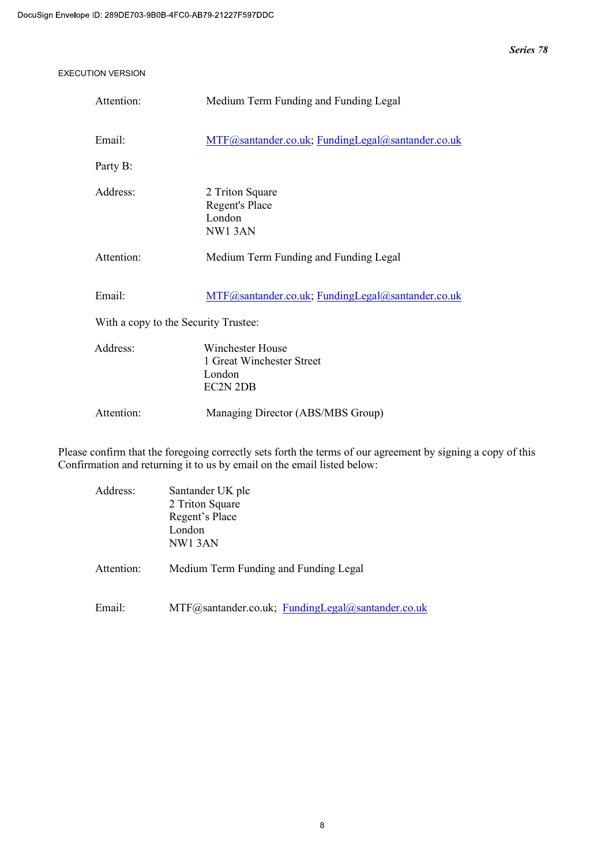| Attention:                           | Medium Term Funding and Funding Legal                                      |  |  |
|--------------------------------------|----------------------------------------------------------------------------|--|--|
| Email:                               | MTF@santander.co.uk; FundingLegal@santander.co.uk                          |  |  |
| Party B:                             |                                                                            |  |  |
| Address:                             | 2 Triton Square<br>Regent's Place<br>London<br>NW13AN                      |  |  |
| Attention:                           | Medium Term Funding and Funding Legal                                      |  |  |
| Email:                               | MTF@santander.co.uk; FundingLegal@santander.co.uk                          |  |  |
| With a copy to the Security Trustee: |                                                                            |  |  |
| Address:                             | Winchester House<br>1 Great Winchester Street<br>London<br><b>EC2N 2DB</b> |  |  |
| Attention:                           | Managing Director (ABS/MBS Group)                                          |  |  |

Please confirm that the foregoing correctly sets forth the terms of our agreement by signing a copy of this Confirmation and returning it to us by email on the email listed below:

| Address:   | Santander UK plc                                  |  |  |
|------------|---------------------------------------------------|--|--|
|            | 2 Triton Square                                   |  |  |
|            | Regent's Place                                    |  |  |
|            | London                                            |  |  |
|            | NW13AN                                            |  |  |
| Attention: | Medium Term Funding and Funding Legal             |  |  |
| Email:     | MTF@santander.co.uk; FundingLegal@santander.co.uk |  |  |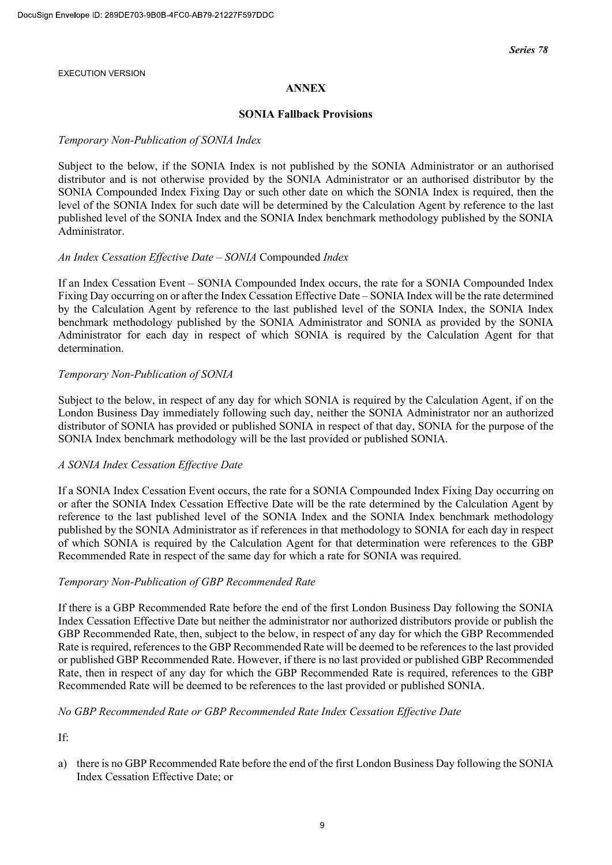## ANNEX

#### SONIA Fallback Provisions

#### Temporary Non-Publication of SONIA Index

Subject to the below, if the SONIA Index is not published by the SONIA Administrator or an authorised distributor and is not otherwise provided by the SONIA Administrator or an authorised distributor by the SONIA Compounded Index Fixing Day or such other date on which the SONIA Index is required, then the level of the SONIA Index for such date will be determined by the Calculation Agent by reference to the last published level of the SONIA Index and the SONIA Index benchmark methodology published by the SONIA Administrator.

#### An Index Cessation Effective Date – SONIA Compounded Index

If an Index Cessation Event – SONIA Compounded Index occurs, the rate for a SONIA Compounded Index Fixing Day occurring on or after the Index Cessation Effective Date – SONIA Index will be the rate determined by the Calculation Agent by reference to the last published level of the SONIA Index, the SONIA Index benchmark methodology published by the SONIA Administrator and SONIA as provided by the SONIA Administrator for each day in respect of which SONIA is required by the Calculation Agent for that determination.

## Temporary Non-Publication of SONIA

Subject to the below, in respect of any day for which SONIA is required by the Calculation Agent, if on the London Business Day immediately following such day, neither the SONIA Administrator nor an authorized distributor of SONIA has provided or published SONIA in respect of that day, SONIA for the purpose of the SONIA Index benchmark methodology will be the last provided or published SONIA.

## A SONIA Index Cessation Effective Date

If a SONIA Index Cessation Event occurs, the rate for a SONIA Compounded Index Fixing Day occurring on or after the SONIA Index Cessation Effective Date will be the rate determined by the Calculation Agent by reference to the last published level of the SONIA Index and the SONIA Index benchmark methodology published by the SONIA Administrator as if references in that methodology to SONIA for each day in respect of which SONIA is required by the Calculation Agent for that determination were references to the GBP Recommended Rate in respect of the same day for which a rate for SONIA was required.

#### Temporary Non-Publication of GBP Recommended Rate

If there is a GBP Recommended Rate before the end of the first London Business Day following the SONIA Index Cessation Effective Date but neither the administrator nor authorized distributors provide or publish the GBP Recommended Rate, then, subject to the below, in respect of any day for which the GBP Recommended Rate is required, references to the GBP Recommended Rate will be deemed to be references to the last provided or published GBP Recommended Rate. However, if there is no last provided or published GBP Recommended Rate, then in respect of any day for which the GBP Recommended Rate is required, references to the GBP Recommended Rate will be deemed to be references to the last provided or published SONIA.

## No GBP Recommended Rate or GBP Recommended Rate Index Cessation Effective Date

If:

a) there is no GBP Recommended Rate before the end of the first London Business Day following the SONIA Index Cessation Effective Date; or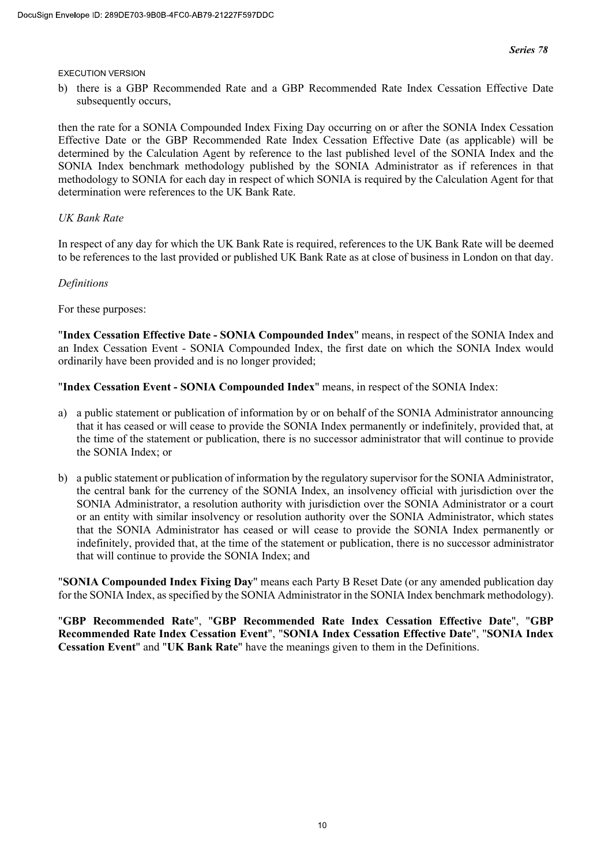b) there is a GBP Recommended Rate and a GBP Recommended Rate Index Cessation Effective Date subsequently occurs,

then the rate for a SONIA Compounded Index Fixing Day occurring on or after the SONIA Index Cessation Effective Date or the GBP Recommended Rate Index Cessation Effective Date (as applicable) will be determined by the Calculation Agent by reference to the last published level of the SONIA Index and the SONIA Index benchmark methodology published by the SONIA Administrator as if references in that methodology to SONIA for each day in respect of which SONIA is required by the Calculation Agent for that determination were references to the UK Bank Rate.

## UK Bank Rate

In respect of any day for which the UK Bank Rate is required, references to the UK Bank Rate will be deemed to be references to the last provided or published UK Bank Rate as at close of business in London on that day.

## Definitions

For these purposes:

"Index Cessation Effective Date - SONIA Compounded Index" means, in respect of the SONIA Index and an Index Cessation Event - SONIA Compounded Index, the first date on which the SONIA Index would ordinarily have been provided and is no longer provided;

"Index Cessation Event - SONIA Compounded Index" means, in respect of the SONIA Index:

- a) a public statement or publication of information by or on behalf of the SONIA Administrator announcing that it has ceased or will cease to provide the SONIA Index permanently or indefinitely, provided that, at the time of the statement or publication, there is no successor administrator that will continue to provide the SONIA Index; or
- b) a public statement or publication of information by the regulatory supervisor for the SONIA Administrator, the central bank for the currency of the SONIA Index, an insolvency official with jurisdiction over the SONIA Administrator, a resolution authority with jurisdiction over the SONIA Administrator or a court or an entity with similar insolvency or resolution authority over the SONIA Administrator, which states that the SONIA Administrator has ceased or will cease to provide the SONIA Index permanently or indefinitely, provided that, at the time of the statement or publication, there is no successor administrator that will continue to provide the SONIA Index; and

"SONIA Compounded Index Fixing Day" means each Party B Reset Date (or any amended publication day for the SONIA Index, as specified by the SONIA Administrator in the SONIA Index benchmark methodology).

"GBP Recommended Rate", "GBP Recommended Rate Index Cessation Effective Date", "GBP Recommended Rate Index Cessation Event", "SONIA Index Cessation Effective Date", "SONIA Index Cessation Event" and "UK Bank Rate" have the meanings given to them in the Definitions.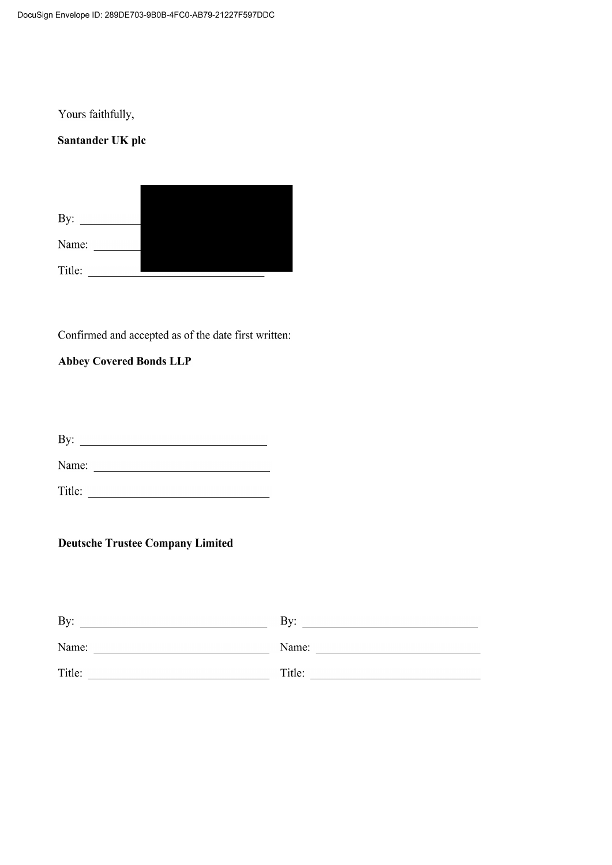Yours faithfully,

# Santander UK plc

By:  $\qquad \qquad$ Name: 

Confirmed and accepted as of the date first written:

# **Abbey Covered Bonds LLP**

# **Deutsche Trustee Company Limited**

| By:    | Bv:    |
|--------|--------|
| Name:  | Name:  |
| Title: | Title: |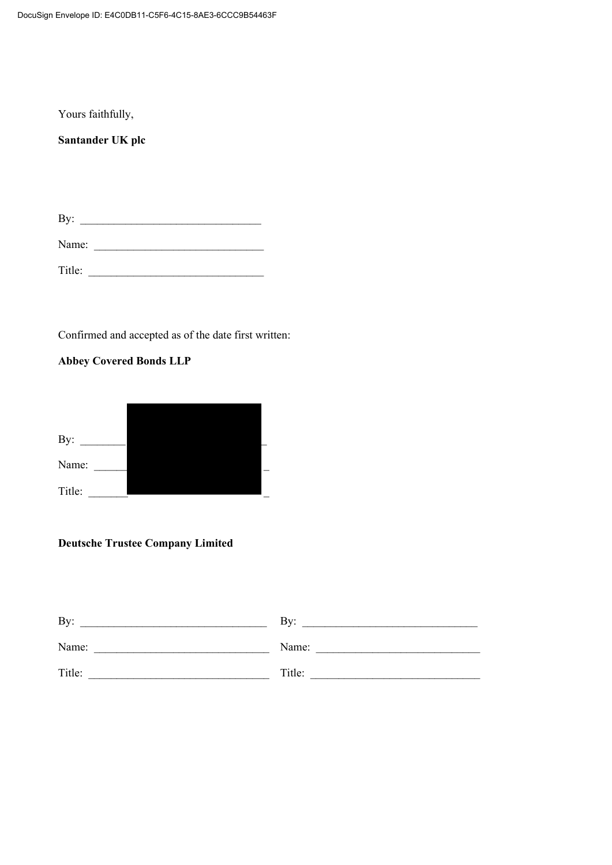Yours faithfully,

**Santander UK plc** 

By: \_\_\_\_\_\_\_\_\_\_\_\_\_\_\_\_\_\_\_\_\_\_\_\_\_\_\_\_\_\_\_\_

Name: \_\_\_\_\_\_\_\_\_\_\_\_\_\_\_\_\_\_\_\_\_\_\_\_\_\_\_\_\_\_

Title: \_\_\_\_\_\_\_\_\_\_\_\_\_\_\_\_\_\_\_\_\_\_\_\_\_\_\_\_\_\_\_

Confirmed and accepted as of the date first written:

## **Abbey Covered Bonds LLP**

| By:    |  |  |
|--------|--|--|
| Name:  |  |  |
| Title: |  |  |

# **Deutsche Trustee Company Limited**

| By:    | Bv:    |
|--------|--------|
| Name:  | Name:  |
| Title: | Title: |